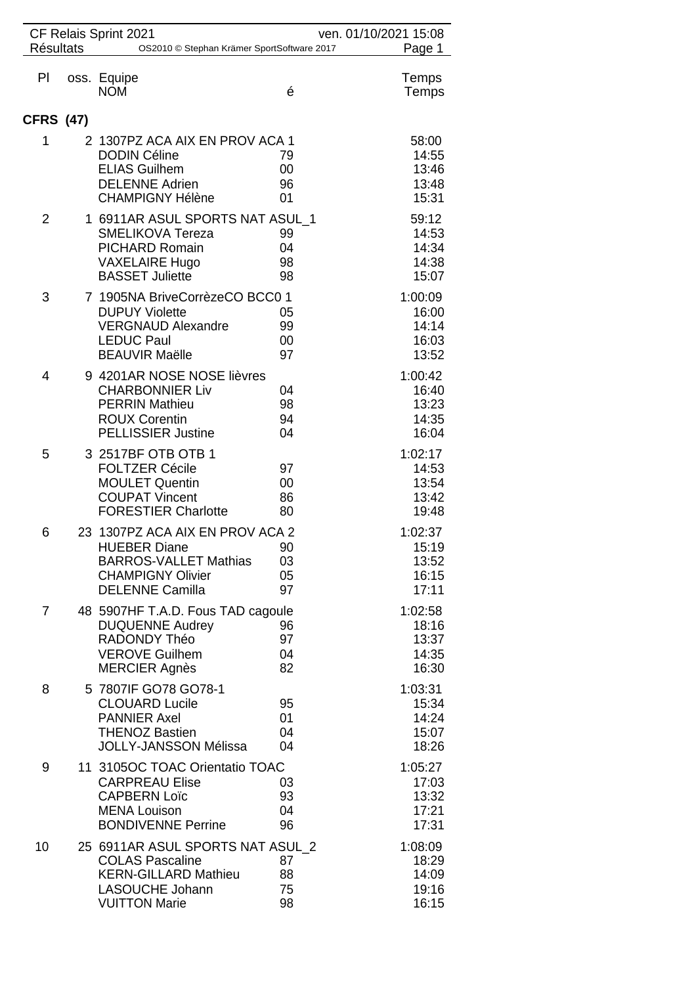| <b>Résultats</b> | CF Relais Sprint 2021<br>OS2010 © Stephan Krämer SportSoftware 2017                                                                          |                      | ven. 01/10/2021 15:08<br>Page 1             |
|------------------|----------------------------------------------------------------------------------------------------------------------------------------------|----------------------|---------------------------------------------|
| PI               | oss. Equipe<br><b>NOM</b>                                                                                                                    | é                    | Temps<br>Temps                              |
| <b>CFRS (47)</b> |                                                                                                                                              |                      |                                             |
| 1                | 2 1307PZ ACA AIX EN PROV ACA 1<br><b>DODIN Céline</b><br><b>ELIAS Guilhem</b><br><b>DELENNE Adrien</b><br><b>CHAMPIGNY Hélène</b>            | 79<br>00<br>96<br>01 | 58:00<br>14:55<br>13:46<br>13:48<br>15:31   |
| $\overline{2}$   | 1 6911AR ASUL SPORTS NAT ASUL 1<br><b>SMELIKOVA Tereza</b><br><b>PICHARD Romain</b><br><b>VAXELAIRE Hugo</b><br><b>BASSET Juliette</b>       | 99<br>04<br>98<br>98 | 59:12<br>14:53<br>14:34<br>14:38<br>15:07   |
| 3                | 7 1905NA BriveCorrèzeCO BCC0 1<br><b>DUPUY Violette</b><br><b>VERGNAUD Alexandre</b><br><b>LEDUC Paul</b><br><b>BEAUVIR Maëlle</b>           | 05<br>99<br>00<br>97 | 1:00:09<br>16:00<br>14:14<br>16:03<br>13:52 |
| 4                | 9 4201AR NOSE NOSE lièvres<br><b>CHARBONNIER Liv</b><br><b>PERRIN Mathieu</b><br><b>ROUX Corentin</b><br><b>PELLISSIER Justine</b>           | 04<br>98<br>94<br>04 | 1:00:42<br>16:40<br>13:23<br>14:35<br>16:04 |
| 5                | 3 2517BF OTB OTB 1<br><b>FOLTZER Cécile</b><br><b>MOULET Quentin</b><br><b>COUPAT Vincent</b><br><b>FORESTIER Charlotte</b>                  | 97<br>00<br>86<br>80 | 1:02:17<br>14:53<br>13:54<br>13:42<br>19:48 |
| 6                | 23 1307PZ ACA AIX EN PROV ACA 2<br><b>HUEBER Diane</b><br><b>BARROS-VALLET Mathias</b><br><b>CHAMPIGNY Olivier</b><br><b>DELENNE Camilla</b> | 90<br>03<br>05<br>97 | 1:02:37<br>15:19<br>13:52<br>16:15<br>17:11 |
| $\overline{7}$   | 48 5907HF T.A.D. Fous TAD cagoule<br><b>DUQUENNE Audrey</b><br>RADONDY Théo<br><b>VEROVE Guilhem</b><br><b>MERCIER Agnès</b>                 | 96<br>97<br>04<br>82 | 1:02:58<br>18:16<br>13:37<br>14:35<br>16:30 |
| 8                | 5 7807IF GO78 GO78-1<br><b>CLOUARD Lucile</b><br><b>PANNIER Axel</b><br><b>THENOZ Bastien</b><br><b>JOLLY-JANSSON Mélissa</b>                | 95<br>01<br>04<br>04 | 1:03:31<br>15:34<br>14:24<br>15:07<br>18:26 |
| 9                | 11 3105OC TOAC Orientatio TOAC<br><b>CARPREAU Elise</b><br><b>CAPBERN Loïc</b><br><b>MENA Louison</b><br><b>BONDIVENNE Perrine</b>           | 03<br>93<br>04<br>96 | 1:05:27<br>17:03<br>13:32<br>17:21<br>17:31 |
| 10               | 25 6911AR ASUL SPORTS NAT ASUL 2<br><b>COLAS Pascaline</b><br><b>KERN-GILLARD Mathieu</b><br><b>LASOUCHE Johann</b><br><b>VUITTON Marie</b>  | 87<br>88<br>75<br>98 | 1:08:09<br>18:29<br>14:09<br>19:16<br>16:15 |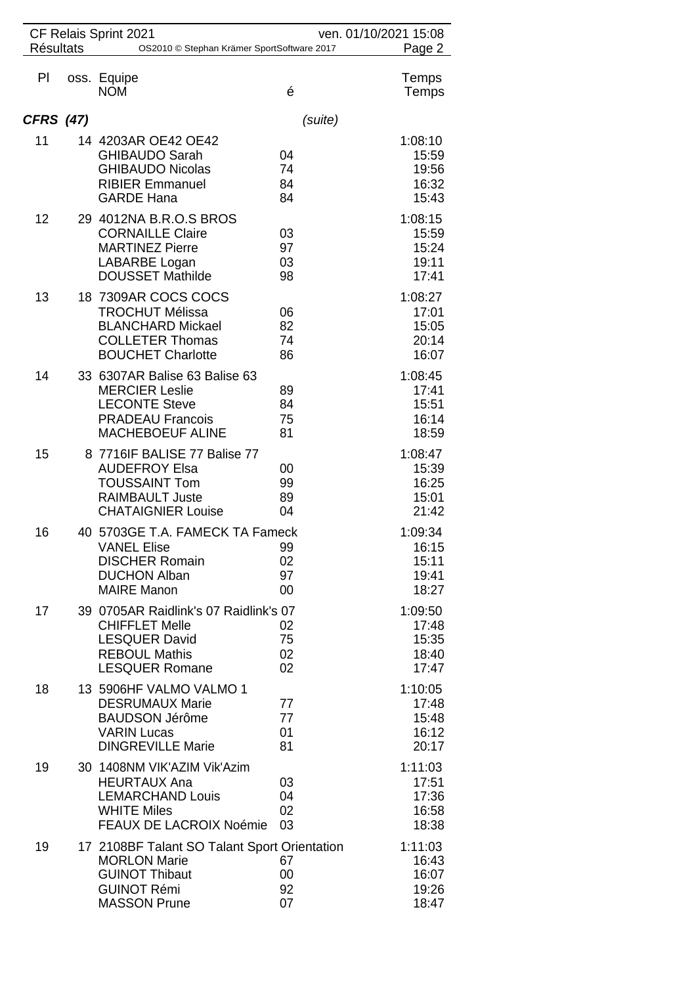|                  | CF Relais Sprint 2021<br>ven. 01/10/2021 15:08<br><b>Résultats</b><br>OS2010 © Stephan Krämer SportSoftware 2017 |                                                                                                                                           |                            |                                             |  |
|------------------|------------------------------------------------------------------------------------------------------------------|-------------------------------------------------------------------------------------------------------------------------------------------|----------------------------|---------------------------------------------|--|
| PI               |                                                                                                                  | oss. Equipe<br><b>NOM</b>                                                                                                                 | é                          | Page 2<br>Temps<br>Temps                    |  |
| <b>CFRS (47)</b> |                                                                                                                  |                                                                                                                                           | (suite)                    |                                             |  |
| 11               |                                                                                                                  | 14 4203AR OE42 OE42<br><b>GHIBAUDO Sarah</b><br><b>GHIBAUDO Nicolas</b><br><b>RIBIER Emmanuel</b><br><b>GARDE Hana</b>                    | 04<br>74<br>84<br>84       | 1:08:10<br>15:59<br>19:56<br>16:32<br>15:43 |  |
| 12               |                                                                                                                  | 29 4012NA B.R.O.S BROS<br><b>CORNAILLE Claire</b><br><b>MARTINEZ Pierre</b><br>LABARBE Logan<br><b>DOUSSET Mathilde</b>                   | 03<br>97<br>03<br>98       | 1:08:15<br>15:59<br>15:24<br>19:11<br>17:41 |  |
| 13               |                                                                                                                  | 18 7309AR COCS COCS<br><b>TROCHUT Mélissa</b><br><b>BLANCHARD Mickael</b><br><b>COLLETER Thomas</b><br><b>BOUCHET Charlotte</b>           | 06<br>82<br>74<br>86       | 1:08:27<br>17:01<br>15:05<br>20:14<br>16:07 |  |
| 14               |                                                                                                                  | 33 6307AR Balise 63 Balise 63<br><b>MERCIER Leslie</b><br><b>LECONTE Steve</b><br><b>PRADEAU Francois</b><br><b>MACHEBOEUF ALINE</b>      | 89<br>84<br>75<br>81       | 1:08:45<br>17:41<br>15:51<br>16:14<br>18:59 |  |
| 15               |                                                                                                                  | 8 7716IF BALISE 77 Balise 77<br><b>AUDEFROY Elsa</b><br><b>TOUSSAINT Tom</b><br><b>RAIMBAULT Juste</b><br><b>CHATAIGNIER Louise</b>       | 00<br>99<br>89<br>04       | 1:08:47<br>15:39<br>16:25<br>15:01<br>21:42 |  |
| 16               |                                                                                                                  | 40 5703GE T.A. FAMECK TA Fameck<br><b>VANEL Elise</b><br><b>DISCHER Romain</b><br><b>DUCHON Alban</b><br><b>MAIRE Manon</b>               | - 99<br>02<br>97<br>$00\,$ | 1:09:34<br>16:15<br>15:11<br>19:41<br>18:27 |  |
| 17               |                                                                                                                  | 39 0705AR Raidlink's 07 Raidlink's 07<br><b>CHIFFLET Melle</b><br><b>LESQUER David</b><br><b>REBOUL Mathis</b><br><b>LESQUER Romane</b>   | 02<br>75<br>02<br>02       | 1:09:50<br>17:48<br>15:35<br>18:40<br>17:47 |  |
| 18               |                                                                                                                  | 13 5906HF VALMO VALMO 1<br><b>DESRUMAUX Marie</b><br><b>BAUDSON Jérôme</b><br><b>VARIN Lucas</b><br><b>DINGREVILLE Marie</b>              | 77<br>77<br>01<br>81       | 1:10:05<br>17:48<br>15:48<br>16:12<br>20:17 |  |
| 19               |                                                                                                                  | 30 1408NM VIK'AZIM Vik'Azim<br><b>HEURTAUX Ana</b><br><b>LEMARCHAND Louis</b><br><b>WHITE Miles</b><br><b>FEAUX DE LACROIX Noémie</b>     | 03<br>04<br>02<br>03       | 1:11:03<br>17:51<br>17:36<br>16:58<br>18:38 |  |
| 19               |                                                                                                                  | 17 2108BF Talant SO Talant Sport Orientation<br><b>MORLON Marie</b><br><b>GUINOT Thibaut</b><br><b>GUINOT Rémi</b><br><b>MASSON Prune</b> | 67<br>00<br>92<br>07       | 1:11:03<br>16:43<br>16:07<br>19:26<br>18:47 |  |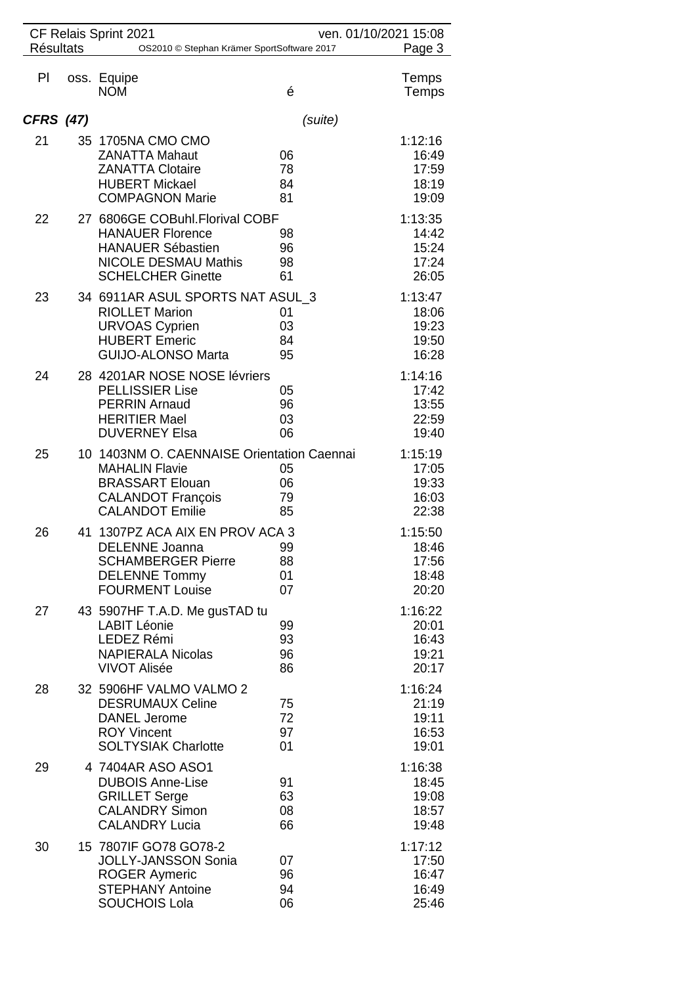|                  | CF Relais Sprint 2021<br>ven. 01/10/2021 15:08 |                                                                                                                                                     |                      |                                             |
|------------------|------------------------------------------------|-----------------------------------------------------------------------------------------------------------------------------------------------------|----------------------|---------------------------------------------|
| <b>Résultats</b> |                                                | OS2010 © Stephan Krämer SportSoftware 2017                                                                                                          |                      | Page 3                                      |
| PI               |                                                | oss. Equipe<br><b>NOM</b>                                                                                                                           | é                    | Temps<br>Temps                              |
| <b>CFRS</b> (47) |                                                |                                                                                                                                                     | (suite)              |                                             |
| 21               |                                                | 35 1705NA CMO CMO<br><b>ZANATTA Mahaut</b><br><b>ZANATTA Clotaire</b><br><b>HUBERT Mickael</b><br><b>COMPAGNON Marie</b>                            | 06<br>78<br>84<br>81 | 1:12:16<br>16:49<br>17:59<br>18:19<br>19:09 |
| 22               |                                                | 27 6806GE COBuhl. Florival COBF<br><b>HANAUER Florence</b><br><b>HANAUER Sébastien</b><br><b>NICOLE DESMAU Mathis</b><br><b>SCHELCHER Ginette</b>   | 98<br>96<br>98<br>61 | 1:13:35<br>14:42<br>15:24<br>17:24<br>26:05 |
| 23               |                                                | 34 6911AR ASUL SPORTS NAT ASUL 3<br><b>RIOLLET Marion</b><br><b>URVOAS Cyprien</b><br><b>HUBERT Emeric</b><br><b>GUIJO-ALONSO Marta</b>             | 01<br>03<br>84<br>95 | 1:13:47<br>18:06<br>19:23<br>19:50<br>16:28 |
| 24               |                                                | 28 4201AR NOSE NOSE lévriers<br><b>PELLISSIER Lise</b><br><b>PERRIN Arnaud</b><br><b>HERITIER Mael</b><br><b>DUVERNEY Elsa</b>                      | 05<br>96<br>03<br>06 | 1:14:16<br>17:42<br>13:55<br>22:59<br>19:40 |
| 25               |                                                | 10 1403NM O. CAENNAISE Orientation Caennai<br><b>MAHALIN Flavie</b><br><b>BRASSART Elouan</b><br><b>CALANDOT François</b><br><b>CALANDOT Emilie</b> | 05<br>06<br>79<br>85 | 1:15:19<br>17:05<br>19:33<br>16:03<br>22:38 |
| 26               |                                                | 41 1307PZ ACA AIX EN PROV ACA 3<br>DELENNE Joanna<br><b>SCHAMBERGER Pierre</b><br><b>DELENNE Tommy</b><br><b>FOURMENT Louise</b>                    | 99<br>88<br>01<br>07 | 1:15:50<br>18:46<br>17:56<br>18:48<br>20:20 |
| 27               |                                                | 43 5907HF T.A.D. Me gusTAD tu<br><b>LABIT Léonie</b><br>LEDEZ Rémi<br><b>NAPIERALA Nicolas</b><br><b>VIVOT Alisée</b>                               | 99<br>93<br>96<br>86 | 1:16:22<br>20:01<br>16:43<br>19:21<br>20:17 |
| 28               |                                                | 32 5906HF VALMO VALMO 2<br><b>DESRUMAUX Celine</b><br><b>DANEL Jerome</b><br><b>ROY Vincent</b><br><b>SOLTYSIAK Charlotte</b>                       | 75<br>72<br>97<br>01 | 1:16:24<br>21:19<br>19:11<br>16:53<br>19:01 |
| 29               |                                                | 4 7404AR ASO ASO1<br><b>DUBOIS Anne-Lise</b><br><b>GRILLET Serge</b><br><b>CALANDRY Simon</b><br><b>CALANDRY Lucia</b>                              | 91<br>63<br>08<br>66 | 1:16:38<br>18:45<br>19:08<br>18:57<br>19:48 |
| 30               |                                                | 15 7807IF GO78 GO78-2<br><b>JOLLY-JANSSON Sonia</b><br><b>ROGER Aymeric</b><br><b>STEPHANY Antoine</b><br><b>SOUCHOIS Lola</b>                      | 07<br>96<br>94<br>06 | 1:17:12<br>17:50<br>16:47<br>16:49<br>25:46 |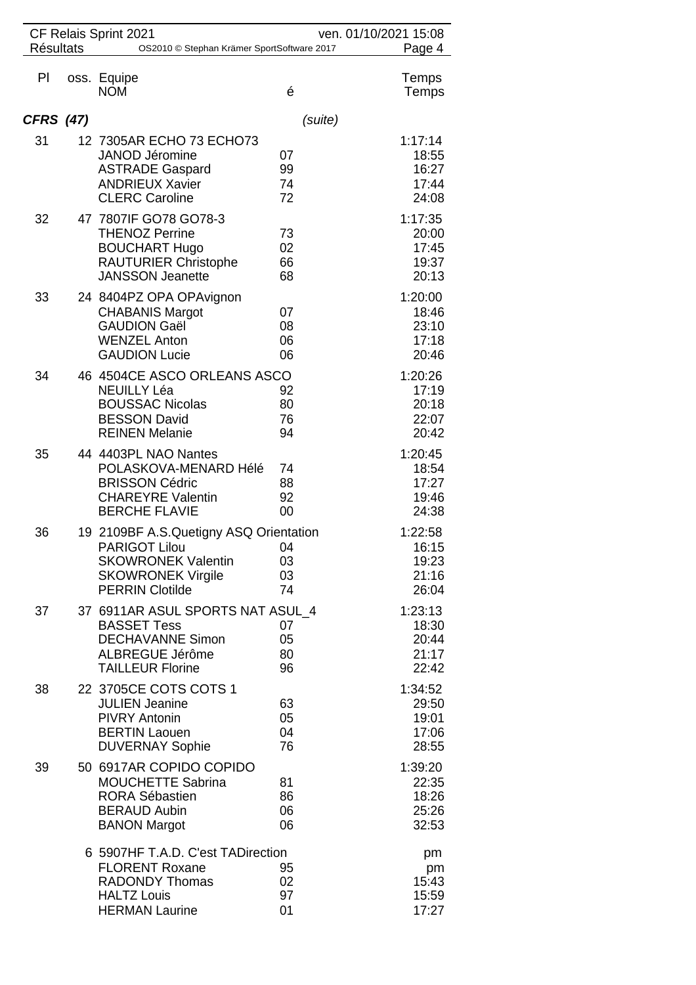| CF Relais Sprint 2021<br><b>Résultats</b> |                                                      |                                                                                                                                            | ven. 01/10/2021 15:08  |                                             |  |
|-------------------------------------------|------------------------------------------------------|--------------------------------------------------------------------------------------------------------------------------------------------|------------------------|---------------------------------------------|--|
|                                           | Page 4<br>OS2010 © Stephan Krämer SportSoftware 2017 |                                                                                                                                            |                        |                                             |  |
| PI                                        |                                                      | oss. Equipe<br><b>NOM</b>                                                                                                                  | é                      | Temps<br>Temps                              |  |
| <b>CFRS (47)</b>                          |                                                      |                                                                                                                                            | (suite)                |                                             |  |
| 31                                        |                                                      | 12 7305AR ECHO 73 ECHO73<br><b>JANOD Jéromine</b><br><b>ASTRADE Gaspard</b><br><b>ANDRIEUX Xavier</b><br><b>CLERC Caroline</b>             | 07<br>99<br>74<br>72   | 1:17:14<br>18:55<br>16:27<br>17:44<br>24:08 |  |
| 32                                        |                                                      | 47 7807IF GO78 GO78-3<br><b>THENOZ Perrine</b><br><b>BOUCHART Hugo</b><br><b>RAUTURIER Christophe</b><br><b>JANSSON Jeanette</b>           | 73<br>02<br>66<br>68   | 1:17:35<br>20:00<br>17:45<br>19:37<br>20:13 |  |
| 33                                        |                                                      | 24 8404PZ OPA OPAvignon<br><b>CHABANIS Margot</b><br><b>GAUDION Gaël</b><br><b>WENZEL Anton</b><br><b>GAUDION Lucie</b>                    | 07<br>08<br>06<br>06   | 1:20:00<br>18:46<br>23:10<br>17:18<br>20:46 |  |
| 34                                        |                                                      | 46 4504CE ASCO ORLEANS ASCO<br><b>NEUILLY Léa</b><br><b>BOUSSAC Nicolas</b><br><b>BESSON David</b><br><b>REINEN Melanie</b>                | 92<br>80<br>76<br>94   | 1:20:26<br>17:19<br>20:18<br>22:07<br>20:42 |  |
| 35                                        |                                                      | 44 4403PL NAO Nantes<br>POLASKOVA-MENARD Hélé<br><b>BRISSON Cédric</b><br><b>CHAREYRE Valentin</b><br><b>BERCHE FLAVIE</b>                 | 74<br>88<br>92<br>00   | 1:20:45<br>18:54<br>17:27<br>19:46<br>24:38 |  |
| 36                                        |                                                      | 19 2109BF A.S.Quetigny ASQ Orientation<br>PARIGOT Lilou<br><b>SKOWRONEK Valentin</b><br><b>SKOWRONEK Virgile</b><br><b>PERRIN Clotilde</b> | - 04<br>03<br>03<br>74 | 1:22:58<br>16:15<br>19:23<br>21:16<br>26:04 |  |
| 37                                        |                                                      | 37 6911AR ASUL SPORTS NAT ASUL 4<br><b>BASSET Tess</b><br><b>DECHAVANNE Simon</b><br>ALBREGUE Jérôme<br><b>TAILLEUR Florine</b>            | 07<br>05<br>80<br>96   | 1:23:13<br>18:30<br>20:44<br>21:17<br>22:42 |  |
| 38                                        |                                                      | 22 3705CE COTS COTS 1<br><b>JULIEN Jeanine</b><br><b>PIVRY Antonin</b><br><b>BERTIN Laouen</b><br><b>DUVERNAY Sophie</b>                   | 63<br>05<br>04<br>76   | 1:34:52<br>29:50<br>19:01<br>17:06<br>28:55 |  |
| 39                                        |                                                      | 50 6917AR COPIDO COPIDO<br><b>MOUCHETTE Sabrina</b><br><b>RORA Sébastien</b><br><b>BERAUD Aubin</b><br><b>BANON Margot</b>                 | 81<br>86<br>06<br>06   | 1:39:20<br>22:35<br>18:26<br>25:26<br>32:53 |  |
|                                           |                                                      | 6 5907HF T.A.D. C'est TADirection<br><b>FLORENT Roxane</b><br><b>RADONDY Thomas</b><br><b>HALTZ Louis</b><br><b>HERMAN Laurine</b>         | 95<br>02<br>97<br>01   | pm<br>pm<br>15:43<br>15:59<br>17:27         |  |